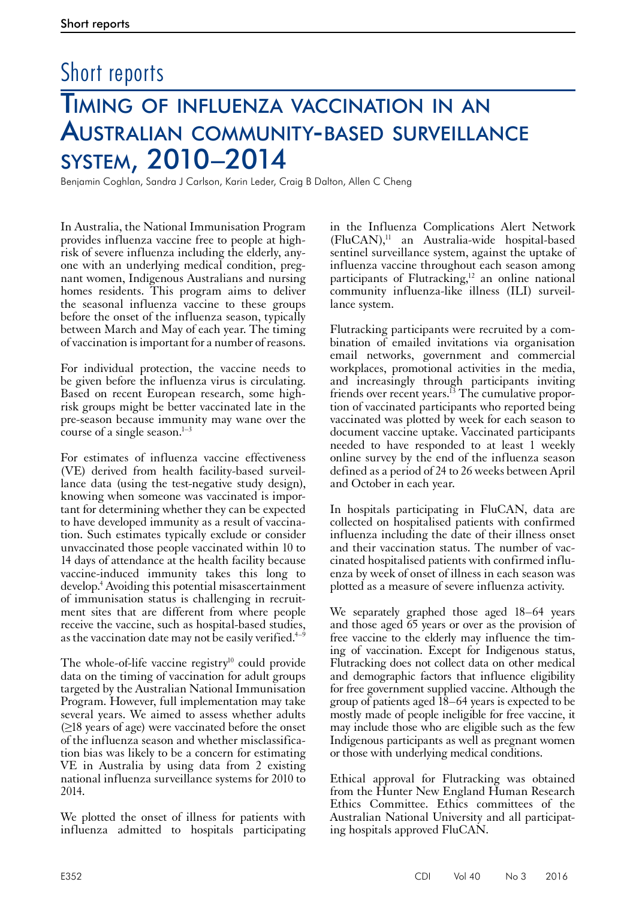# Timing of influenza vaccination in an Australian community-based surveillance system, 2010–2014 Short reports

Benjamin Coghlan, Sandra J Carlson, Karin Leder, Craig B Dalton, Allen C Cheng

In Australia, the National Immunisation Program provides influenza vaccine free to people at highrisk of severe influenza including the elderly, anyone with an underlying medical condition, pregnant women, Indigenous Australians and nursing homes residents. This program aims to deliver the seasonal influenza vaccine to these groups before the onset of the influenza season, typically between March and May of each year. The timing of vaccination is important for a number of reasons.

For individual protection, the vaccine needs to be given before the influenza virus is circulating. Based on recent European research, some highrisk groups might be better vaccinated late in the pre-season because immunity may wane over the course of a single season. $1-3$ 

For estimates of influenza vaccine effectiveness (VE) derived from health facility-based surveillance data (using the test-negative study design), knowing when someone was vaccinated is important for determining whether they can be expected to have developed immunity as a result of vaccination. Such estimates typically exclude or consider unvaccinated those people vaccinated within 10 to 14 days of attendance at the health facility because vaccine-induced immunity takes this long to develop.4 Avoiding this potential misascertainment of immunisation status is challenging in recruitment sites that are different from where people receive the vaccine, such as hospital-based studies, as the vaccination date may not be easily verified.<sup>4–9</sup>

The whole-of-life vaccine registry $10$  could provide data on the timing of vaccination for adult groups targeted by the Australian National Immunisation Program. However, full implementation may take several years. We aimed to assess whether adults  $(\geq$ 18 years of age) were vaccinated before the onset of the influenza season and whether misclassifica- tion bias was likely to be a concern for estimating VE in Australia by using data from 2 existing national influenza surveillance systems for 2010 to 2014.

We plotted the onset of illness for patients with influenza admitted to hospitals participating

in the Influenza Complications Alert Network (FluCAN),11 an Australia-wide hospital-based sentinel surveillance system, against the uptake of influenza vaccine throughout each season among participants of Flutracking, $12$  an online national community influenza-like illness (ILI) surveillance system.

Flutracking participants were recruited by a combination of emailed invitations via organisation email networks, government and commercial workplaces, promotional activities in the media, and increasingly through participants inviting friends over recent years.<sup>13</sup> The cumulative proportion of vaccinated participants who reported being vaccinated was plotted by week for each season to document vaccine uptake. Vaccinated participants needed to have responded to at least 1 weekly online survey by the end of the influenza season defined as a period of 24 to 26 weeks between April and October in each year.

In hospitals participating in FluCAN, data are collected on hospitalised patients with confirmed influenza including the date of their illness onset and their vaccination status. The number of vaccinated hospitalised patients with confirmed influenza by week of onset of illness in each season was plotted as a measure of severe influenza activity.

We separately graphed those aged 18–64 years and those aged 65 years or over as the provision of free vaccine to the elderly may influence the timing of vaccination. Except for Indigenous status, Flutracking does not collect data on other medical and demographic factors that influence eligibility for free government supplied vaccine. Although the group of patients aged 18–64 years is expected to be mostly made of people ineligible for free vaccine, it may include those who are eligible such as the few Indigenous participants as well as pregnant women or those with underlying medical conditions.

Ethical approval for Flutracking was obtained from the Hunter New England Human Research Ethics Committee. Ethics committees of the Australian National University and all participating hospitals approved FluCAN.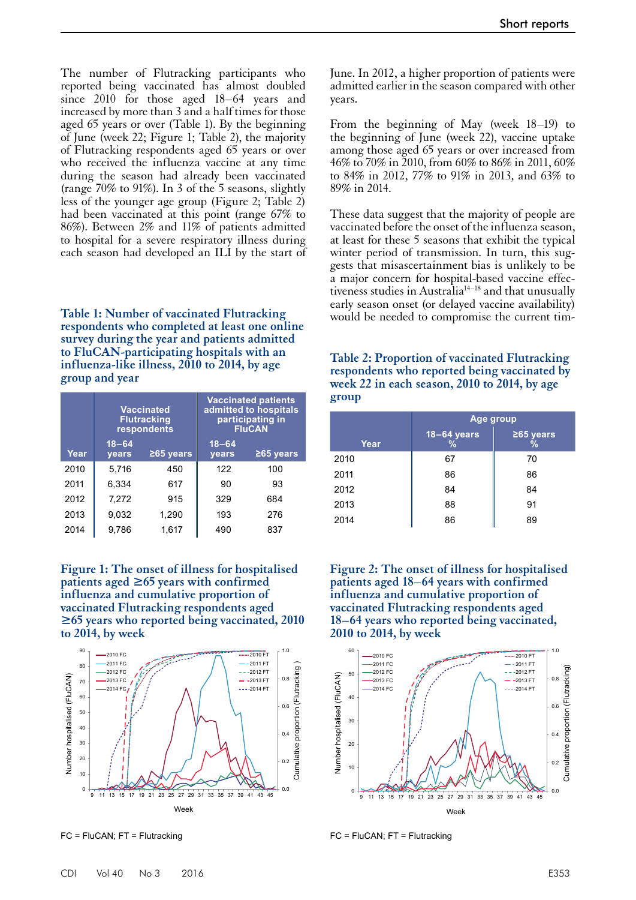The number of Flutracking participants who reported being vaccinated has almost doubled since 2010 for those aged 18–64 years and increased by more than 3 and a half times for those aged 65 years or over (Table 1). By the beginning of June (week 22; Figure 1; Table 2), the majority of Flutracking respondents aged 65 years or over who received the influenza vaccine at any time during the season had already been vaccinated (range 70% to 91%). In 3 of the 5 seasons, slightly less of the younger age group (Figure 2; Table 2) had been vaccinated at this point (range 67% to 86%). Between 2% and 11% of patients admitted to hospital for a severe respiratory illness during each season had developed an ILI by the start of

early season onset (or delayed vaccine availability) **Table 1: Number of vaccinated Flutracking** would be needed to compromise the current tim- **respondents who completed at least one online survey during the year and patients admitted to FluCAN-participating hospitals with an influenza-like illness, 2010 to 2014, by age group and year**

|      | <b>Vaccinated</b><br><b>Flutracking</b><br>respondents |             | <b>Vaccinated patients</b><br>admitted to hospitals<br>participating in<br><b>FluCAN</b> |             |
|------|--------------------------------------------------------|-------------|------------------------------------------------------------------------------------------|-------------|
| Year | $18 - 64$<br>years                                     | $≥65$ years | $18 - 64$<br>years                                                                       | $≥65$ years |
| 2010 | 5.716                                                  | 450         | 122                                                                                      | 100         |
| 2011 | 6,334                                                  | 617         | 90                                                                                       | 93          |
| 2012 | 7,272                                                  | 915         | 329                                                                                      | 684         |
| 2013 | 9,032                                                  | 1,290       | 193                                                                                      | 276         |
| 2014 | 9.786                                                  | 1,617       | 490                                                                                      | 837         |

**Figure 1: The onset of illness for hospitalised patients aged ≥65 years with confirmed influenza and cumulative proportion of vaccinated Flutracking respondents aged ≥65 years who reported being vaccinated, 2010 to 2014, by week**



FC = FluCAN; FT = Flutracking

June. In 2012, a higher proportion of patients were admitted earlier in the season compared with other years.

From the beginning of May (week 18–19) to the beginning of June (week 22), vaccine uptake among those aged 65 years or over increased from 46% to 70% in 2010, from 60% to 86% in 2011, 60% to 84% in 2012, 77% to 91% in 2013, and 63% to 89% in 2014.

These data suggest that the majority of people are vaccinated before the onset of the influenza season, at least for these 5 seasons that exhibit the typical winter period of transmission. In turn, this suggests that misascertainment bias is unlikely to be a major concern for hospital-based vaccine effectiveness studies in Australia<sup>14–18</sup> and that unusually

**Table 2: Proportion of vaccinated Flutracking respondents who reported being vaccinated by week 22 in each season, 2010 to 2014, by age group**

|      | Age group               |                  |  |
|------|-------------------------|------------------|--|
| Year | $18 - 64$ years<br>$\%$ | $265$ years<br>% |  |
| 2010 | 67                      | 70               |  |
| 2011 | 86                      | 86               |  |
| 2012 | 84                      | 84               |  |
| 2013 | 88                      | 91               |  |
| 2014 | 86                      | 89               |  |

**Figure 2: The onset of illness for hospitalised patients aged 18–64 years with confirmed influenza and cumulative proportion of vaccinated Flutracking respondents aged 18–64 years who reported being vaccinated, 2010 to 2014, by week**



FC = FluCAN; FT = Flutracking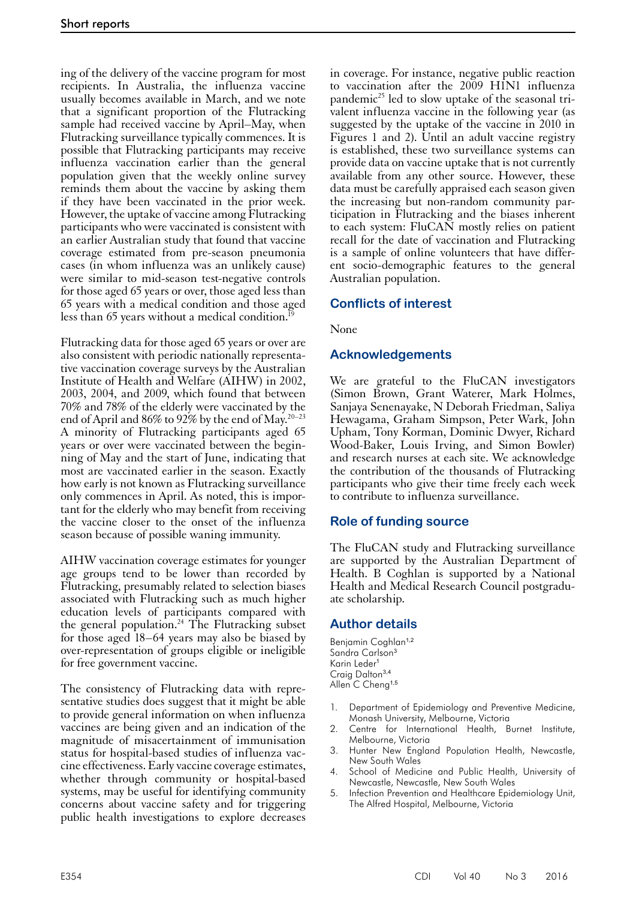ing of the delivery of the vaccine program for most recipients. In Australia, the influenza vaccine usually becomes available in March, and we note that a significant proportion of the Flutracking sample had received vaccine by April–May, when Flutracking surveillance typically commences. It is possible that Flutracking participants may receive influenza vaccination earlier than the general population given that the weekly online survey reminds them about the vaccine by asking them if they have been vaccinated in the prior week. However, the uptake of vaccine among Flutracking participants who were vaccinated is consistent with an earlier Australian study that found that vaccine coverage estimated from pre-season pneumonia cases (in whom influenza was an unlikely cause) were similar to mid-season test-negative controls for those aged 65 years or over, those aged less than 65 years with a medical condition and those aged less than 65 years without a medical condition.<sup>19</sup>

Flutracking data for those aged 65 years or over are also consistent with periodic nationally representative vaccination coverage surveys by the Australian Institute of Health and Welfare (AIHW) in 2002, 2003, 2004, and 2009, which found that between 70% and 78% of the elderly were vaccinated by the end of April and 86% to 92% by the end of May.20–23 A minority of Flutracking participants aged 65 years or over were vaccinated between the beginning of May and the start of June, indicating that most are vaccinated earlier in the season. Exactly how early is not known as Flutracking surveillance only commences in April. As noted, this is impor- tant for the elderly who may benefit from receiving the vaccine closer to the onset of the influenza season because of possible waning immunity.

AIHW vaccination coverage estimates for younger age groups tend to be lower than recorded by Flutracking, presumably related to selection biases associated with Flutracking such as much higher education levels of participants compared with the general population.<sup>24</sup> The Flutracking subset for those aged 18–64 years may also be biased by over-representation of groups eligible or ineligible for free government vaccine.

The consistency of Flutracking data with representative studies does suggest that it might be able to provide general information on when influenza vaccines are being given and an indication of the magnitude of misacertainment of immunisation status for hospital-based studies of influenza vac- cine effectiveness. Early vaccine coverage estimates, whether through community or hospital-based systems, may be useful for identifying community concerns about vaccine safety and for triggering public health investigations to explore decreases

in coverage. For instance, negative public reaction to vaccination after the 2009 H1N1 influenza pandemic<sup>25</sup> led to slow uptake of the seasonal trivalent influenza vaccine in the following year (as suggested by the uptake of the vaccine in 2010 in Figures 1 and 2). Until an adult vaccine registry is established, these two surveillance systems can provide data on vaccine uptake that is not currently available from any other source. However, these data must be carefully appraised each season given the increasing but non-random community participation in Flutracking and the biases inherent to each system: FluCAN mostly relies on patient recall for the date of vaccination and Flutracking is a sample of online volunteers that have different socio-demographic features to the general Australian population.

# **Conflicts of interest**

None

# **Acknowledgements**

We are grateful to the FluCAN investigators (Simon Brown, Grant Waterer, Mark Holmes, Sanjaya Senenayake, N Deborah Friedman, Saliya Hewagama, Graham Simpson, Peter Wark, John Upham, Tony Korman, Dominic Dwyer, Richard Wood-Baker, Louis Irving, and Simon Bowler) and research nurses at each site. We acknowledge the contribution of the thousands of Flutracking participants who give their time freely each week to contribute to influenza surveillance.

## **Role of funding source**

The FluCAN study and Flutracking surveillance are supported by the Australian Department of Health. B Coghlan is supported by a National Health and Medical Research Council postgradu- ate scholarship.

## **Author details**

Benjamin Coghlan<sup>1,2</sup> Sandra Carlson<sup>3</sup> Karin Leder<sup>1</sup> Craig Dalton<sup>3,4</sup> Allen C Cheng<sup>1,5</sup>

- 1. Department of Epidemiology and Preventive Medicine, Monash University, Melbourne, Victoria
- 2. Centre for International Health, Burnet Institute, Melbourne, Victoria
- 3. Hunter New England Population Health, Newcastle, New South Wales
- School of Medicine and Public Health, University of Newcastle, Newcastle, New South Wales
- 5. Infection Prevention and Healthcare Epidemiology Unit, The Alfred Hospital, Melbourne, Victoria